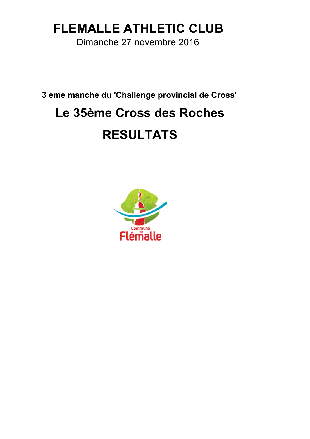### **FLEMALLE ATHLETIC CLUB**

Dimanche 27 novembre 2016

**3 ème manche du 'Challenge provincial de Cross'**

# **Le 35ème Cross des Roches**

## **RESULTATS**

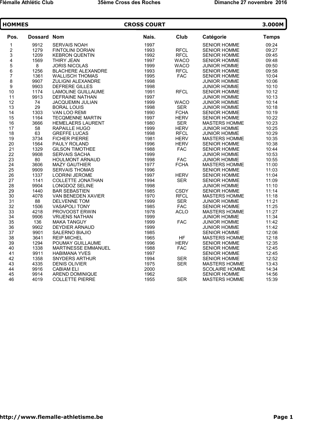| <b>HOMMES</b>            |                    |                            | <b>CROSS COURT</b> |             |                       | 3.000M       |  |
|--------------------------|--------------------|----------------------------|--------------------|-------------|-----------------------|--------------|--|
| Pos.                     | <b>Dossard Nom</b> |                            | Nais.              | Club        | Catégorie             | <b>Temps</b> |  |
| 1                        | 9912               | <b>SERVAIS NOAH</b>        | 1997               |             | SENIOR HOMME          | 09:24        |  |
| $\boldsymbol{2}$         | 1279               | <b>FINTOLINI DORIAN</b>    | 1993               | <b>RFCL</b> | <b>SENIOR HOMME</b>   | 09:27        |  |
| 3                        | 1209               | <b>KEBRON QUENTIN</b>      | 1992               | <b>RFCL</b> | <b>SENIOR HOMME</b>   | 09:45        |  |
| $\overline{\mathbf{4}}$  | 1569               | THIRY JEAN                 | 1997               | <b>WACO</b> | SENIOR HOMME          | 09:48        |  |
| $\frac{5}{6}$            | $\bf 8$            | <b>JORIS NICOLAS</b>       | 1999               | <b>WACO</b> | <b>JUNIOR HOMME</b>   | 09:50        |  |
|                          | 1256               | <b>BLACHERE ALEXANDRE</b>  | 1993               | <b>RFCL</b> | <b>SENIOR HOMME</b>   | 09:58        |  |
| $\overline{\mathcal{I}}$ | 1361               | <b>WALLISCH THOMAS</b>     | 1995               | <b>FAC</b>  | <b>SENIOR HOMME</b>   | 10:04        |  |
| 8                        | 9907               | ZULIGNI ALEXANDRE          | 1998               |             | JUNIOR HOMME          | 10:06        |  |
| 9                        | 9903               | <b>DEFRERE GILLES</b>      | 1998               |             | JUNIOR HOMME          | 10:10        |  |
| 10                       | 1174               | LAMOLINE GUILLAUME         | 1991               | <b>RFCL</b> | <b>SENIOR HOMME</b>   | 10:12        |  |
| 11                       | 9913               | <b>DEFRAINE NATHAN</b>     | 1997               |             | <b>JUNIOR HOMME</b>   | 10:13        |  |
| 12                       | 74                 | <b>JACQUEMIN JULIAN</b>    | 1999               | <b>WACO</b> | JUNIOR HOMME          | 10:14        |  |
| 13                       | 29                 | <b>BORAL LOUIS</b>         | 1998               | <b>SER</b>  | <b>JUNIOR HOMME</b>   | 10:18        |  |
| 14                       | 1303               | VAN LOO REMI               | 1990               | <b>FCHA</b> | <b>SENIOR HOMME</b>   | 10:19        |  |
| 15                       | 1164               | <b>TECQMENNE MARTIN</b>    | 1997               | <b>HERV</b> | <b>SENIOR HOMME</b>   | 10:22        |  |
| 16                       | 3666               | HEMELAERS LAURENT          | 1980               | <b>SER</b>  | MASTERS HOMME         | 10:23        |  |
| 17                       | 58                 | RAPAILLE HUGO              | 1999               | <b>HERV</b> | JUNIOR HOMME          | 10:25        |  |
| 18                       | 63                 | <b>GREFFE LUCAS</b>        | 1998               | <b>RFCL</b> | <b>JUNIOR HOMME</b>   | 10:29        |  |
| 19                       | 3734               | <b>FICHER PIERRE</b>       | 1981               | <b>HERV</b> | MASTERS HOMME         | 10:35        |  |
| 20                       | 1564               | <b>PAULY ROLAND</b>        | 1996               | <b>HERV</b> | <b>SENIOR HOMME</b>   | 10:38        |  |
| 21                       | 1329               | <b>GILSON TIMOTHEE</b>     | 1988               | <b>FAC</b>  | SENIOR HOMME          | 10:44        |  |
| 22                       | 9908               | <b>SERVAIS SACHA</b>       | 1999               |             | <b>JUNIOR HOMME</b>   | 10:53        |  |
| 23                       | 80                 | <b>HOULMONT ARNAUD</b>     | 1998               | <b>FAC</b>  | <b>JUNIOR HOMME</b>   | 10:55        |  |
| 24                       | 3606               | <b>MAZY GAUTHIER</b>       | 1977               | <b>FCHA</b> | <b>MASTERS HOMME</b>  | 11:00        |  |
| 25                       | 9909               | <b>SERVAIS THOMAS</b>      | 1996               |             | <b>SENIOR HOMME</b>   | 11:03        |  |
| 26                       | 1337               | <b>LODRINI JEROME</b>      | 1997               | <b>HERV</b> | <b>SENIOR HOMME</b>   | 11:04        |  |
| 27                       | 1141               | <b>COLLETTE JONATHAN</b>   | 1994               | <b>SER</b>  | <b>SENIOR HOMME</b>   | 11:09        |  |
| 28                       | 9904               | LONGDOZ SELINE             | 1998               |             | <b>JUNIOR HOMME</b>   | 11:10        |  |
| 29                       | 1440               | <b>BAR SEBASTIEN</b>       | 1985               | <b>CSDY</b> | <b>SENIOR HOMME</b>   | 11:14        |  |
| 30                       | 4078               | VAN BENEDEN XAVIER         | 1970               | <b>RFCL</b> | <b>MASTERS HOMME</b>  | 11:18        |  |
| 31                       | 88                 | DELVENNE TOM               | 1999               | <b>SER</b>  | JUNIOR HOMME          | 11:21        |  |
| 32                       | 1506               | <b>VASAPOLI TONY</b>       | 1985               | <b>FAC</b>  | <b>SENIOR HOMME</b>   | 11:25        |  |
| 33                       | 4218               | PROVOOST ERWIN             | 1978               | <b>ACLO</b> | <b>MASTERS HOMME</b>  | 11:27        |  |
| 34                       | 9906               | <b>VRIJENS NATHAN</b>      | 1999               |             | <b>JUNIOR HOMME</b>   | 11:34        |  |
| 35                       | 136                | <b>MAKA TANGUY</b>         | 1999               | <b>FAC</b>  | <b>JUNIOR HOMME</b>   | 11:42        |  |
| 36                       | 9902               | <b>DEYDIER ARNAUD</b>      | 1999               |             | <b>JUNIOR HOMME</b>   | 11:42        |  |
| 37                       | 9901               | SALERNO BIAJIO             | 1985               |             | <b>SENIOR HOMME</b>   | 12:06        |  |
| 38                       | 3641               | <b>REIP MICHEL</b>         | 1965               | <b>HF</b>   | <b>MASTERS HOMME</b>  | 12:18        |  |
| 39                       | 1294               | POUMAY GUILLAUME           | 1996               | <b>HERV</b> | <b>SENIOR HOMME</b>   | 12:35        |  |
| 40                       | 1338               | <b>MARTINESSE EMMANUEL</b> | 1988               | <b>FAC</b>  | <b>SENIOR HOMME</b>   | 12:45        |  |
| 41                       | 9911               | <b>HABIMANA YVES</b>       | 1997               |             | <b>SENIOR HOMME</b>   | 12:45        |  |
| 42                       | 1358               | <b>SNYDERS ARTHUR</b>      | 1994               | <b>SER</b>  | <b>SENIOR HOMME</b>   | 12:52        |  |
| 43                       | 4335               | <b>DENIS OLIVIER</b>       | 1975               | <b>SER</b>  | <b>MASTERS HOMME</b>  | 13:43        |  |
| 44                       | 9916               | <b>CABIAM ELI</b>          | 2000               |             | <b>SCOLAIRE HOMME</b> | 14:34        |  |
| 45                       | 9914               | AREND DOMINIQUE            | 1962               |             | <b>SENIOR HOMME</b>   | 14:56        |  |
| 46                       | 4019               | <b>COLLETTE PIERRE</b>     | 1955               | <b>SER</b>  | MASTERS HOMME         | 15:39        |  |
|                          |                    |                            |                    |             |                       |              |  |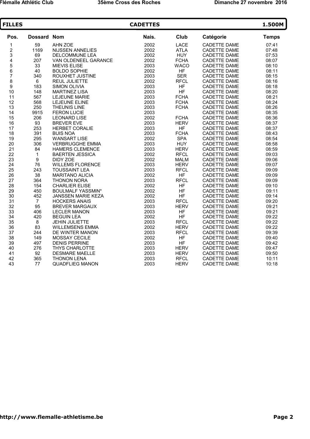| <b>FILLES</b>                         |                    |                          | <b>CADETTES</b> |             |                     | 1.500M       |
|---------------------------------------|--------------------|--------------------------|-----------------|-------------|---------------------|--------------|
| Pos.                                  | <b>Dossard Nom</b> |                          | Nais.           | Club        | Catégorie           | <b>Temps</b> |
| 1                                     | 59                 | AHN ZOE                  | 2002            | <b>LACE</b> | <b>CADETTE DAME</b> | 07:41        |
|                                       | 1169               | <b>NIJSSEN ANNELIES</b>  | 2002            | <b>ATLA</b> | CADETTE DAME        | 07:48        |
| 2<br>3<br>4                           | 69                 | <b>DELCOMMUNE LEA</b>    | 2002            | <b>HUY</b>  | CADETTE DAME        | 07:53        |
|                                       | 207                | VAN OLDENEEL GARANCE     | 2002            | <b>FCHA</b> | <b>CADETTE DAME</b> | 08:07        |
|                                       | 33                 | <b>MIEVIS ELISE</b>      | 2003            | <b>WACO</b> | CADETTE DAME        | 08:10        |
| 5<br>6<br>7                           | 40                 | <b>BOLDO SOPHIE</b>      | 2002            | HF          | CADETTE DAME        | 08:11        |
|                                       | 340                | ROUXHET JUSTINE          | 2003            | <b>SER</b>  | CADETTE DAME        | 08:15        |
| $\begin{array}{c} 8 \\ 9 \end{array}$ | 6                  | REUL JULIETTE            | 2002            | <b>RFCL</b> | CADETTE DAME        | 08:16        |
|                                       | 183                | <b>SIMON OLIVIA</b>      | 2003            | <b>HF</b>   | <b>CADETTE DAME</b> | 08:18        |
| 10                                    | 148                | <b>MARTINEZ LISA</b>     | 2003            | <b>HF</b>   | <b>CADETTE DAME</b> | 08:20        |
| 11                                    | 567                | LEJEUNE MARIE            | 2003            | <b>FCHA</b> | CADETTE DAME        | 08:21        |
| 12                                    | 568                | LEJEUNE ELINE            | 2003            | <b>FCHA</b> | CADETTE DAME        | 08:24        |
| 13                                    | 250                | <b>THEUNIS LINE</b>      | 2003            | <b>FCHA</b> | CADETTE DAME        | 08:26        |
| 14                                    | 9915               | <b>FERON LUCIE</b>       | 2003            |             | <b>CADETTE DAME</b> | 08:35        |
| 15                                    | 206                | <b>LEONARD LISE</b>      | 2002            | <b>FCHA</b> | CADETTE DAME        | 08:36        |
| 16                                    | 93                 | <b>BREVER EVE</b>        | 2003            | <b>HERV</b> | <b>CADETTE DAME</b> | 08:37        |
| 17                                    | 253                | <b>HERBET CORALIE</b>    | 2003            | <b>HF</b>   | <b>CADETTE DAME</b> | 08:37        |
| 18                                    | 391                | <b>BUIS NOA</b>          | 2003            | <b>FCHA</b> | CADETTE DAME        | 08:43        |
| 19                                    | 295                | <b>WANSART LISE</b>      | 2002            | <b>SPA</b>  | CADETTE DAME        | 08:54        |
| 20                                    | 306                | <b>VERBRUGGHE EMMA</b>   | 2003            | <b>HUY</b>  | CADETTE DAME        | 08:58        |
| 21                                    | 84                 | <b>HAMERS CLEMENCE</b>   | 2003            | <b>HERV</b> | <b>CADETTE DAME</b> | 08:59        |
| 22                                    | $\mathbf{1}$       | <b>BAERTEN JESSICA</b>   | 2002            | <b>RFCL</b> | <b>CADETTE DAME</b> | 09:03        |
| 23                                    | 9                  | DIDY ZOE                 | 2002            | <b>MALM</b> | CADETTE DAME        | 09:06        |
| 24                                    | 76                 | <b>WILLEMS FLORENCE</b>  | 2003            | <b>HERV</b> | <b>CADETTE DAME</b> | 09:07        |
| 25                                    | 243                | <b>TOUSSAINT LEA</b>     | 2003            | <b>RFCL</b> | <b>CADETTE DAME</b> | 09:09        |
| 26                                    | 38                 | <b>MARITANO ALICIA</b>   | 2002            | <b>HF</b>   | <b>CADETTE DAME</b> | 09:09        |
| 27                                    | 364                | <b>THONON NORA</b>       | 2003            | <b>RFCL</b> | <b>CADETTE DAME</b> | 09:09        |
| 28                                    | 154                | <b>CHARLIER ELISE</b>    | 2002            | <b>HF</b>   | <b>CADETTE DAME</b> | 09:10        |
| 29                                    | 450                | <b>BOULMALF YASSMIN*</b> | 2002            | <b>HF</b>   | CADETTE DAME        | 09:11        |
| 30                                    | 452                | JANSSEN MARIE KEZA       | 2002            | <b>HF</b>   | CADETTE DAME        | 09:14        |
| 31                                    | $\overline{7}$     | <b>HOCKERS ANAIS</b>     | 2003            | <b>RFCL</b> | <b>CADETTE DAME</b> | 09:20        |
| 32                                    | 95                 | <b>BREVER MARGAUX</b>    | 2003            | <b>HERV</b> | <b>CADETTE DAME</b> | 09:21        |
| 33                                    | 406                | <b>LECLER MANON</b>      | 2003            | <b>HF</b>   | <b>CADETTE DAME</b> | 09:21        |
| 34                                    | 420                | <b>BEGUIN LEA</b>        | 2002            | <b>HF</b>   | <b>CADETTE DAME</b> | 09:22        |
| 35                                    | $\bf 8$            | JEHIN JULIETTE           | 2003            | <b>RFCL</b> | CADETTE DAME        | 09:22        |
| 36                                    | 83                 | <b>WILLEMSENS EMMA</b>   | 2002            | <b>HERV</b> | CADETTE DAME        | 09:22        |
| 37                                    | 244                | DE WINTER MANON          | 2003            | <b>RFCL</b> | <b>CADETTE DAME</b> | 09:39        |
| 38                                    | 149                | MOSSAY CECILE            | 2002            | <b>HF</b>   | <b>CADETTE DAME</b> | 09:40        |
| 39                                    | 497                | <b>DENIS PERRINE</b>     | 2003            | <b>HF</b>   | <b>CADETTE DAME</b> | 09:42        |
| 40                                    | 276                | THYS CHARLOTTE           | 2003            | <b>HERV</b> | <b>CADETTE DAME</b> | 09:47        |
| 41                                    | 92                 | <b>DESMARE MAELLE</b>    | 2003            | <b>HERV</b> | CADETTE DAME        | 09:50        |
| 42                                    | 365                | <b>THONON LENA</b>       | 2003            | <b>RFCL</b> | <b>CADETTE DAME</b> | 10:11        |
| 43                                    | 77                 | <b>QUADFLIEG MANON</b>   | 2003            | <b>HERV</b> | <b>CADETTE DAME</b> | 10:18        |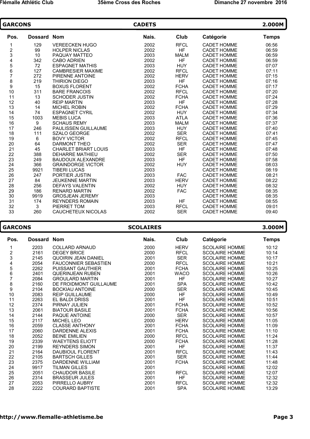| <b>GARCONS</b> |             | <b>CADETS</b>               |       |             |                    |              |
|----------------|-------------|-----------------------------|-------|-------------|--------------------|--------------|
| Pos.           | Dossard Nom |                             | Nais. | Club        | Catégorie          | <b>Temps</b> |
| 1              | 129         | <b>VEREECKEN HUGO</b>       | 2002  | <b>RFCL</b> | <b>CADET HOMME</b> | 06:56        |
|                | 99          | <b>HOLPER NICLAS</b>        | 2002  | <b>HF</b>   | <b>CADET HOMME</b> | 06:59        |
| 2<br>3<br>4    | 10          | PAQUAY MATTEO               | 2003  | <b>MALM</b> | <b>CADET HOMME</b> | 06:59        |
|                | 342         | <b>CABO ADRIEN</b>          | 2002  | <b>HF</b>   | <b>CADET HOMME</b> | 06:59        |
| 5<br>6         | 72          | <b>ESPAGNET MATHIS</b>      | 2003  | <b>HUY</b>  | <b>CADET HOMME</b> | 07:07        |
|                | 127         | <b>CAMBRESIER MAXIME</b>    | 2002  | <b>RFCL</b> | <b>CADET HOMME</b> | 07:11        |
| $\overline{7}$ | 272         | PIRENNE ANTOINE             | 2002  | <b>HERV</b> | <b>CADET HOMME</b> | 07:15        |
| 8              | 219         | <b>THIRION DIEGO</b>        | 2003  | <b>HF</b>   | <b>CADET HOMME</b> | 07:16        |
| 9              | 15          | <b>BOXUS FLORENT</b>        | 2002  | <b>FCHA</b> | <b>CADET HOMME</b> | 07:17        |
| 10             | 311         | <b>BARE FRANCOIS</b>        | 2002  | <b>RFCL</b> | <b>CADET HOMME</b> | 07:20        |
| 11             | 13          | <b>SCHODER JUSTIN</b>       | 2002  | <b>FCHA</b> | <b>CADET HOMME</b> | 07:24        |
| 12             | 40          | <b>REIP MARTIN</b>          | 2003  | <b>HF</b>   | <b>CADET HOMME</b> | 07:28        |
| 13             | 14          | <b>MICHEL ROBIN</b>         | 2002  | <b>FCHA</b> | <b>CADET HOMME</b> | 07:29        |
| 14             | 74          | <b>ESPAGNET CYRIL</b>       | 2002  | <b>HUY</b>  | <b>CADET HOMME</b> | 07:34        |
| 15             | 1003        | <b>MEBIS LUCA</b>           | 2003  | <b>ATLA</b> | <b>CADET HOMME</b> | 07:36        |
| 16             | 9           | <b>SCHAUS REMY</b>          | 2003  | <b>MALM</b> | <b>CADET HOMME</b> | 07:37        |
| 17             | 246         | <b>PAULISSEN GUILLAUME</b>  | 2003  | <b>HUY</b>  | <b>CADET HOMME</b> | 07:40        |
| 18             | 111         | <b>SZALO GEORGE</b>         | 2002  | <b>SER</b>  | <b>CADET HOMME</b> | 07:41        |
| 19             | 6           | <b>BOVY VICTOR</b>          | 2002  | <b>RFCL</b> | <b>CADET HOMME</b> | 07:45        |
| 20             | 64          | <b>DARMONT THEO</b>         | 2002  | <b>SER</b>  | <b>CADET HOMME</b> | 07:47        |
| 21             | 45          | <b>CHARLET BRIART LOUIS</b> | 2003  | <b>HF</b>   | <b>CADET HOMME</b> | 07:48        |
| 22             | 388         | <b>DEHARRE MATHIEU</b>      | 2002  | <b>SER</b>  | <b>CADET HOMME</b> | 07:50        |
| 23             | 249         | <b>BAUDOUX ALEXANDRE</b>    | 2003  | <b>HF</b>   | <b>CADET HOMME</b> | 07:58        |
| 24             | 366         | <b>GRAINDORGE VICTOR</b>    | 2002  | <b>HUY</b>  | <b>CADET HOMME</b> | 08:03        |
| 25             | 9921        | <b>TIBERI LUCAS</b>         | 2003  |             | <b>CADET HOMME</b> | 08:19        |
| 26             | 247         | PORTIER JUSTIN              | 2003  | <b>FAC</b>  | <b>CADET HOMME</b> | 08:21        |
| 27             | 84          | <b>JEUKENNE MARTIN</b>      | 2003  | <b>HERV</b> | <b>CADET HOMME</b> | 08:22        |
| 28             | 256         | <b>DEFAYS VALENTIN</b>      | 2002  | <b>HUY</b>  | <b>CADET HOMME</b> | 08:32        |
| 29             | 186         | <b>RENARD MARTIN</b>        | 2002  | <b>FAC</b>  | <b>CADET HOMME</b> | 08:35        |
| 30             | 9919        | <b>GROSJEAN JEREMY</b>      | 2003  |             | <b>CADET HOMME</b> | 08:35        |
| 31             | 174         | <b>REYNDERS ROMAIN</b>      | 2003  | <b>HF</b>   | <b>CADET HOMME</b> | 08:55        |
| 32             | 3           | PIERRET TOM                 | 2003  | <b>RFCL</b> | <b>CADET HOMME</b> | 09:01        |
| 33             | 260         | CAUCHETEUX NICOLAS          | 2002  | <b>SER</b>  | <b>CADET HOMME</b> | 09:40        |
|                |             |                             |       |             |                    |              |

#### **GARCONS SCOLAIRES 3.000M**

#### Pos. Dossard Nom **Nais.** Club Catégorie Temps 1 2203 COLLARD ARNAUD 2000 HERV SCOLAIRE HOMME 10:12 2 2161 DEGEY BRICE 2000 RFCL SCOLAIRE HOMME 10:14 3 2145 QUOIRIN JEAN DANIEL 2001 SER SCOLAIRE HOMME 10:17 4 2054 FAUCONNIER SEBASTIEN 2000 RFCL SCOLAIRE HOMME 10:21 5 2262 PUISSANT GAUTHIER 2001 FCHA SCOLAIRE HOMME 10:25 6 2401 QUERINJEAN RUBEN 2001 WACO SCOLAIRE HOMME 10:26 7 2084 GROULARD MARTIN 2001 HF SCOLAIRE HOMME 10:27 8 2160 DE FROIDMONT GUILLAUME 2001 SPA SCOLAIRE HOMME 10:42 9 2104 BOCKIAU ANTOINE 2000 SER SCOLAIRE HOMME 10:45 10 2083 REIP GUILLAUME 2000 HF SCOLAIRE HOMME 10:49 11 2263 EL BALDI DRISS 2001 HF SCOLAIRE HOMME 10:51 12 2374 PIRNAY JULIEN 2001 FCHA SCOLAIRE HOMME 10:52 13 2061 BIATOUR BASILE 2001 FCHA SCOLAIRE HOMME 10:56 14 2144 PAQUE ANTOINE 2000 SER SCOLAIRE HOMME 10:57 15 2117 MICHEL LEO 2000 HERV SCOLAIRE HOMME 11:05 16 2059 CLASSE ANTHONY 2001 FCHA SCOLAIRE HOMME 11:09 17 2060 DARDENNE ALEXIS 2001 FCHA SCOLAIRE HOMME 11:10 18 2052 BEINE EMILIEN 2000 RFCL SCOLAIRE HOMME 11:24 19 2339 WAEYTENS ELIOTT 2000 FCHA SCOLAIRE HOMME 11:28 20 2199 REYNDERS SIMON 2001 HF SCOLAIRE HOMME 11:37 21 2164 DAUBIOUL FLORENT 2001 RFCL SCOLAIRE HOMME 11:43 22 2105 BARTSCH GILLES 2001 SER SCOLAIRE HOMME 11:44<br>23 2375 DARDENNE WILLIAM 2001 FCHA SCOLAIRE HOMME 11:48 2375 DARDENNE WILLIAM 2001 FCHA SCOLAIRE HOMME 11:48 24 9917 TILMAN GILLES 2001 2001 SCOLAIRE HOMME 12:02 25 2051 CHAUDOIR BASILE 2001 RFCL SCOLAIRE HOMME 12:07 26 2314 BRASSEUR JULES 2001 HF SCOLAIRE HOMME 12:32 27 2053 PIRRELLO AUBRY 2001 RFCL SCOLAIRE HOMME 12:32 28 2222 COURARD BAPTISTE 2001 SPA SCOLAIRE HOMME 13:29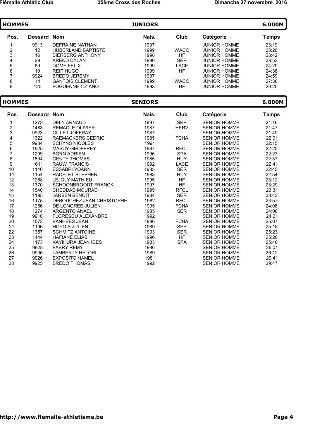| <b>HOMMES</b> |             |                         | <b>JUNIORS</b> |             |                     | 6.000M |
|---------------|-------------|-------------------------|----------------|-------------|---------------------|--------|
| Pos.          | Dossard Nom |                         | Nais.          | Club        | Catégorie           | Temps  |
|               | 9913        | DEFRAINE NATHAN         | 1997           |             | <b>JUNIOR HOMME</b> | 23:19  |
| 2             | 12          | HUBERI AND BAPTISTE     | 1999           | <b>WACO</b> | <b>JUNIOR HOMME</b> | 23:26  |
| 3             | 16          | <b>BIERBERG ANTHONY</b> | 1998           | HF          | <b>JUNIOR HOMME</b> | 23:42  |
| 4             | 28          | ARFND DYLAN             | 1999           | <b>SER</b>  | <b>JUNIOR HOMME</b> | 23:53  |
| 5             | 69          | DOME FFI IX             | 1999           | LACE        | <b>JUNIOR HOMME</b> | 24:20  |
| 6             | 19          | <b>REIP HUGO</b>        | 1999           | HF          | JUNIOR HOMME        | 24:38  |
|               | 9924        | <b>BREDO JEREMY</b>     | 1997           |             | <b>JUNIOR HOMME</b> | 24:59  |
| 8             | 11          | <b>GANTOIS CLEMENT</b>  | 1999           | <b>WACO</b> | <b>JUNIOR HOMME</b> | 27:38  |
| 9             | 120         | <b>FOGUENNE TIZIANO</b> | 1998           | HF          | <b>JUNIOR HOMME</b> | 29:25  |

| <b>HOMMES</b> |             |                           | <b>SENIORS</b> |             |                     | 6.000M       |
|---------------|-------------|---------------------------|----------------|-------------|---------------------|--------------|
| Pos.          | Dossard Nom |                           | Nais.          | Club        | Catégorie           | <b>Temps</b> |
| 1             | 1273        | <b>DELY ARNAUD</b>        | 1997           | <b>SER</b>  | <b>SENIOR HOMME</b> | 21:16        |
|               | 1488        | <b>REMACLE OLIVIER</b>    | 1987           | <b>HERV</b> | <b>SENIOR HOMME</b> | 21:47        |
| $\frac{2}{3}$ | 9923        | <b>GILLET JOFFRAY</b>     | 1987           |             | <b>SENIOR HOMME</b> | 21:49        |
| 4             | 1322        | RAEMACKERS CEDRIC         | 1985           | <b>FCHA</b> | <b>SENIOR HOMME</b> | 22:01        |
|               | 9934        | <b>SCHYNS NICOLES</b>     | 1991           |             | <b>SENIOR HOMME</b> | 22:15        |
| 5<br>6<br>7   | 1625        | <b>MASUY GEOFFREY</b>     | 1987           | <b>RFCL</b> | <b>SENIOR HOMME</b> | 22:25        |
|               | 1299        | <b>BORN ADRIEN</b>        | 1996           | <b>SPA</b>  | <b>SENIOR HOMME</b> | 22:27        |
| 8<br>9        | 1504        | <b>GENTY THOMAS</b>       | 1985           | <b>HUY</b>  | <b>SENIOR HOMME</b> | 22:37        |
|               | 1611        | <b>RAUW FRANCIS</b>       | 1992           | <b>LACE</b> | <b>SENIOR HOMME</b> | 22:41        |
| 10            | 1140        | <b>ESSABRI YOANN</b>      | 1985           | <b>SER</b>  | <b>SENIOR HOMME</b> | 22:45        |
| 11            | 1154        | <b>RADELET STEPHEN</b>    | 1988           | <b>HUY</b>  | <b>SENIOR HOMME</b> | 22:54        |
| 12            | 1268        | <b>LEJOLY MATHIEU</b>     | 1995           | <b>HF</b>   | <b>SENIOR HOMME</b> | 23:12        |
| 13            | 1370        | SCHOONBROODT FRANCK       | 1997           | <b>HF</b>   | <b>SENIOR HOMME</b> | 23:29        |
| 14            | 1540        | <b>CHEDDAD MOURAD</b>     | 1995           | <b>RFCL</b> | <b>SENIOR HOMME</b> | 23:31        |
| 15            | 1195        | <b>JANSEN BENOIT</b>      | 1984           | <b>SER</b>  | <b>SENIOR HOMME</b> | 23:43        |
| 16            | 1175        | DEBOUCHEZ JEAN CHRISTOPHE | 1982           | <b>RFCL</b> | <b>SENIOR HOMME</b> | 23:57        |
| 17            | 1266        | DE LONGREE JULIEN         | 1995           | <b>FCHA</b> | <b>SENIOR HOMME</b> | 24:08        |
| 18            | 1274        | <b>ARGENTO ANAEL</b>      | 1985           | <b>SER</b>  | <b>SENIOR HOMME</b> | 24:08        |
| 19            | 9910        | <b>FLORESCU ALEXANDRE</b> | 1992           |             | <b>SENIOR HOMME</b> | 24:21        |
| 20            | 1573        | <b>VANHEES JEAN</b>       | 1986           | <b>FCHA</b> | <b>SENIOR HOMME</b> | 25:07        |
| 21            | 1196        | <b>HOYOIS JULIEN</b>      | 1989           | <b>SER</b>  | <b>SENIOR HOMME</b> | 25:15        |
| 22            | 1357        | <b>SCHMITZ ANTOINE</b>    | 1993           | <b>SER</b>  | <b>SENIOR HOMME</b> | 25:23        |
| 23            | 1444        | <b>HAFIANE ELIAS</b>      | 1996           | <b>HF</b>   | <b>SENIOR HOMME</b> | 25:26        |
| 24            | 1173        | KAYIHURA JEAN IDES        | 1983           | <b>SPA</b>  | <b>SENIOR HOMME</b> | 25:40        |
| 25            | 9928        | <b>FABRY REMY</b>         | 1986           |             | <b>SENIOR HOMME</b> | 26:01        |
| 26            | 9936        | <b>LAMBERTY HELORI</b>    | 1989           |             | <b>SENIOR HOMME</b> | 26:12        |
| 27            | 9926        | <b>EXPOSITO HAMEL</b>     | 1981           |             | <b>SENIOR HOMME</b> | 29:41        |
| 28            | 9925        | <b>BREDO THOMAS</b>       | 1992           |             | <b>SENIOR HOMME</b> | 29:47        |
|               |             |                           |                |             |                     |              |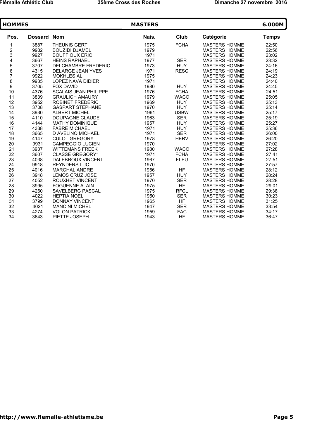| <b>HOMMES</b>           |                    |                              | <b>MASTERS</b> |             |                      | 6.000M       |
|-------------------------|--------------------|------------------------------|----------------|-------------|----------------------|--------------|
| Pos.                    | <b>Dossard Nom</b> |                              | Nais.          | Club        | Catégorie            | <b>Temps</b> |
| 1                       | 3887               | <b>THEUNIS GERT</b>          | 1975           | <b>FCHA</b> | <b>MASTERS HOMME</b> | 22:50        |
| $\overline{\mathbf{c}}$ | 9932               | <b>BOUZIDI DJAMEL</b>        | 1979           |             | <b>MASTERS HOMME</b> | 22:56        |
| 3                       | 9927               | <b>BOUFFIOUX ERIC</b>        | 1971           |             | <b>MASTERS HOMME</b> | 23:02        |
| 4                       | 3667               | <b>HEINS RAPHAEL</b>         | 1977           | <b>SER</b>  | <b>MASTERS HOMME</b> | 23:32        |
|                         | 3707               | <b>DELCHAMBRE FREDERIC</b>   | 1973           | <b>HUY</b>  | <b>MASTERS HOMME</b> | 24:16        |
| 5<br>6<br>7             | 4315               | DELARGE JEAN YVES            | 1971           | <b>RESC</b> | <b>MASTERS HOMME</b> | 24:19        |
|                         | 9922               | <b>MOKHLES ALI</b>           | 1975           |             | <b>MASTERS HOMME</b> | 24:23        |
| 8<br>9                  | 9935               | <b>LOPEZ NAVA DIDIER</b>     | 1971           |             | <b>MASTERS HOMME</b> | 24:40        |
|                         | 3705               | <b>FOX DAVID</b>             | 1980           | <b>HUY</b>  | <b>MASTERS HOMME</b> | 24:45        |
| 10                      | 4376               | <b>SCALAIS JEAN PHILIPPE</b> | 1976           | <b>FCHA</b> | <b>MASTERS HOMME</b> | 24:51        |
| 11                      | 3839               | <b>GRAULICH AMAURY</b>       | 1979           | <b>WACO</b> | <b>MASTERS HOMME</b> | 25:05        |
| 12                      | 3952               | <b>ROBINET FREDERIC</b>      | 1969           | <b>HUY</b>  | <b>MASTERS HOMME</b> | 25:13        |
| 13                      | 3708               | <b>GASPART STEPHANE</b>      | 1970           | <b>HUY</b>  | <b>MASTERS HOMME</b> | 25:14        |
| 14                      | 3930               | <b>ALBERT MICHEL</b>         | 1961           | <b>USBW</b> | <b>MASTERS HOMME</b> | 25:17        |
| 15                      | 4110               | <b>DOUPAGNE CLAUDE</b>       | 1963           | <b>SER</b>  | <b>MASTERS HOMME</b> | 25:19        |
| 16                      | 4144               | <b>MATHY DOMINIQUE</b>       | 1957           | <b>HUY</b>  | <b>MASTERS HOMME</b> | 25:27        |
| 17                      | 4338               | <b>FABRE MICHAEL</b>         | 1971           | <b>HUY</b>  | <b>MASTERS HOMME</b> | 25:36        |
| 18                      | 3665               | D AVELINO MICHAEL            | 1971           | <b>SER</b>  | <b>MASTERS HOMME</b> | 26:00        |
| 19                      | 4147               | <b>CULOT GREGORY</b>         | 1978           | <b>HERV</b> | <b>MASTERS HOMME</b> | 26:20        |
| 20                      | 9931               | <b>CAMPEGGIO LUCIEN</b>      | 1970           |             | <b>MASTERS HOMME</b> | 27:02        |
| 21                      | 3937               | <b>WITTEMANS FREEK</b>       | 1980           | <b>WACO</b> | <b>MASTERS HOMME</b> | 27:28        |
| 22                      | 3607               | <b>CLASSE GREGORY*</b>       | 1971           | <b>FCHA</b> | <b>MASTERS HOMME</b> | 27:41        |
| 23                      | 4038               | <b>DALEBROUX VINCENT</b>     | 1967           | <b>FLEU</b> | <b>MASTERS HOMME</b> | 27:51        |
| 24                      | 9918               | <b>REYNDERS LUC</b>          | 1970           |             | <b>MASTERS HOMME</b> | 27:57        |
| 25                      | 4016               | <b>MARCHAL ANDRE</b>         | 1956           | HF          | <b>MASTERS HOMME</b> | 28:12        |
| 26                      | 3918               | LEMOS CRUZ JOSE              | 1957           | <b>HUY</b>  | <b>MASTERS HOMME</b> | 28:24        |
| 27                      | 4052               | <b>ROUXHET VINCENT</b>       | 1970           | <b>SER</b>  | <b>MASTERS HOMME</b> | 28:28        |
| 28                      | 3995               | <b>FOGUENNE ALAIN</b>        | 1975           | <b>HF</b>   | <b>MASTERS HOMME</b> | 29:01        |
| 29                      | 4260               | <b>SAVELBERG PASCAL</b>      | 1975           | <b>RFCL</b> | <b>MASTERS HOMME</b> | 29:38        |
| 30                      | 4022               | <b>HEPTIA NOEL</b>           | 1950           | <b>SER</b>  | <b>MASTERS HOMME</b> | 30:23        |
| 31                      | 3799               | <b>DONNAY VINCENT</b>        | 1965           | HF          | <b>MASTERS HOMME</b> | 31:25        |
| 32                      | 4021               | <b>MANCINI MICHEL</b>        | 1947           | <b>SER</b>  | <b>MASTERS HOMME</b> | 33:54        |
| 33                      | 4274               | <b>VOLON PATRICK</b>         | 1959           | <b>FAC</b>  | <b>MASTERS HOMME</b> | 34:17        |
| 34                      | 3643               | PIETTE JOSEPH                | 1943           | <b>HF</b>   | <b>MASTERS HOMME</b> | 36:47        |
|                         |                    |                              |                |             |                      |              |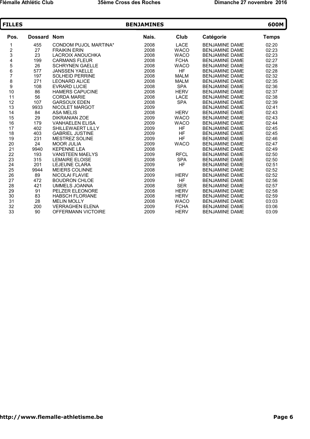| <b>FILLES</b> |                |                              | <b>BENJAMINES</b> |             |                       | 600M         |
|---------------|----------------|------------------------------|-------------------|-------------|-----------------------|--------------|
| Pos.          | <b>Dossard</b> | <b>Nom</b>                   | Nais.             | Club        | Catégorie             | <b>Temps</b> |
| 1             | 455            | <b>CONDOM PUJOL MARTINA*</b> | 2008              | <b>LACE</b> | <b>BENJAMINE DAME</b> | 02:20        |
|               | 27             | <b>FRAIKIN ERIN</b>          | 2008              | <b>WACO</b> | <b>BENJAMINE DAME</b> | 02:23        |
|               | 23             | <b>LACROIX ANOUCHKA</b>      | 2008              | <b>WACO</b> | <b>BENJAMINE DAME</b> | 02:23        |
|               | 199            | <b>CARMANS FLEUR</b>         | 2008              | <b>FCHA</b> | <b>BENJAMINE DAME</b> | 02:27        |
| 234567        | 26             | <b>SCHRYNEN GAELLE</b>       | 2008              | <b>WACO</b> | <b>BENJAMINE DAME</b> | 02:28        |
|               | 577            | <b>JANSSEN YAELLE</b>        | 2008              | HF          | <b>BENJAMINE DAME</b> | 02:28        |
|               | 197            | <b>SOLHEID PERRINE</b>       | 2008              | <b>MALM</b> | <b>BENJAMINE DAME</b> | 02:32        |
| 8<br>9        | 271            | <b>LEONARD ALICE</b>         | 2008              | <b>MALM</b> | <b>BENJAMINE DAME</b> | 02:35        |
|               | 108            | <b>EVRARD LUCIE</b>          | 2008              | <b>SPA</b>  | <b>BENJAMINE DAME</b> | 02:36        |
| 10            | 86             | <b>HAMERS CAPUCINE</b>       | 2008              | <b>HERV</b> | <b>BENJAMINE DAME</b> | 02:37        |
| 11            | 56             | <b>CORDA MARIE</b>           | 2008              | <b>LACE</b> | <b>BENJAMINE DAME</b> | 02:38        |
| 12            | 107            | <b>GARSOUX EDEN</b>          | 2008              | <b>SPA</b>  | <b>BENJAMINE DAME</b> | 02:39        |
| 13            | 9933           | <b>NICOLET MARGOT</b>        | 2009              |             | <b>BENJAMINE DAME</b> | 02:41        |
| 14            | 84             | <b>ASA MELIS</b>             | 2008              | <b>HERV</b> | <b>BENJAMINE DAME</b> | 02:43        |
| 15            | 29             | <b>DIKRANIAN ZOE</b>         | 2009              | <b>WACO</b> | <b>BENJAMINE DAME</b> | 02:43        |
| 16            | 179            | <b>VANHAELEN ELISA</b>       | 2009              | <b>WACO</b> | <b>BENJAMINE DAME</b> | 02:44        |
| 17            | 402            | SHILLEWAERT LILLY            | 2009              | HF          | <b>BENJAMINE DAME</b> | 02:45        |
| 18            | 403            | <b>GABRIEL JUSTINE</b>       | 2009              | <b>HF</b>   | <b>BENJAMINE DAME</b> | 02:45        |
| 19            | 231            | <b>MESTREZ SOLINE</b>        | 2009              | <b>HF</b>   | <b>BENJAMINE DAME</b> | 02:46        |
| 20            | 24             | <b>MOOR JULIA</b>            | 2009              | <b>WACO</b> | <b>BENJAMINE DAME</b> | 02:47        |
| 21            | 9940           | <b>KEPENNE LEA</b>           | 2008              |             | <b>BENJAMINE DAME</b> | 02:49        |
| 22            | 193            | <b>VANSTEEN MAELYS</b>       | 2009              | <b>RFCL</b> | <b>BENJAMINE DAME</b> | 02:50        |
| 23            | 315            | <b>LEMAIRE ELOISE</b>        | 2008              | <b>SPA</b>  | <b>BENJAMINE DAME</b> | 02:50        |
| 24            | 201            | <b>LEJEUNE CLARA</b>         | 2009              | <b>HF</b>   | <b>BENJAMINE DAME</b> | 02:51        |
| 25            | 9944           | <b>MEIERS COLINNE</b>        | 2008              |             | <b>BENJAMINE DAME</b> | 02:52        |
| 26            | 89             | <b>NICOLAI FLAVIE</b>        | 2009              | <b>HERV</b> | <b>BENJAMINE DAME</b> | 02:52        |
| 27            | 472            | <b>BOUDRON CHLOE</b>         | 2009              | <b>HF</b>   | <b>BENJAMINE DAME</b> | 02:56        |
| 28            | 421            | <b>UMMELS JOANNA</b>         | 2008              | <b>SER</b>  | <b>BENJAMINE DAME</b> | 02:57        |
| 29            | 91             | PELZER ELEONORE              | 2008              | <b>HERV</b> | <b>BENJAMINE DAME</b> | 02:58        |
| 30            | 83             | <b>HABSCH FLORIANE</b>       | 2008              | <b>HERV</b> | <b>BENJAMINE DAME</b> | 02:59        |
| 31            | 28             | <b>MELIN MOLLY</b>           | 2008              | <b>WACO</b> | <b>BENJAMINE DAME</b> | 03:03        |
| 32            | 200            | <b>VERRAGHEN ELENA</b>       | 2009              | <b>FCHA</b> | <b>BENJAMINE DAME</b> | 03:06        |
| 33            | 90             | <b>OFFERMANN VICTOIRE</b>    | 2009              | <b>HERV</b> | <b>BENJAMINE DAME</b> | 03:09        |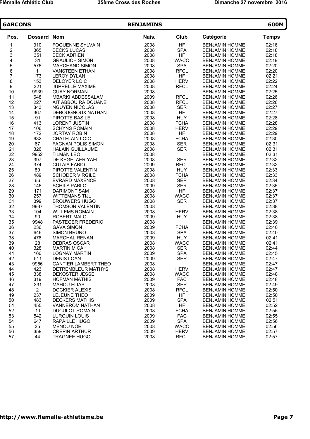| <b>GARCONS</b>          |                |                                               | 600M         |                         |                                                |                |
|-------------------------|----------------|-----------------------------------------------|--------------|-------------------------|------------------------------------------------|----------------|
| Pos.                    | Dossard Nom    |                                               | Nais.        | Club                    | Catégorie                                      | <b>Temps</b>   |
| 1                       | 310            | <b>FOGUENNE SYLVAIN</b>                       | 2008         | <b>HF</b>               | <b>BENJAMIN HOMME</b>                          | 02:16          |
| $\overline{\mathbf{c}}$ | 365            | <b>BECKS LUCAS</b>                            | 2008         | <b>SPA</b>              | <b>BENJAMIN HOMME</b>                          | 02:18          |
| 3                       | 351            | <b>BECK ADRIEN</b>                            | 2008         | <b>HF</b>               | <b>BENJAMIN HOMME</b>                          | 02:18          |
| 4                       | 31             | <b>GRAULICH SIMON</b>                         | 2008         | <b>WACO</b>             | <b>BENJAMIN HOMME</b>                          | 02:19          |
| 5<br>6<br>7             | 576            | <b>MARCHAND SIMON</b>                         | 2008         | <b>SPA</b>              | <b>BENJAMIN HOMME</b>                          | 02:20          |
|                         | $\mathbf{1}$   | <b>VANSTEEN ETHAN</b>                         | 2008         | <b>RFCL</b>             | <b>BENJAMIN HOMME</b>                          | 02:20          |
|                         | 173            | <b>LEROY DYLAN</b>                            | 2008         | <b>HF</b>               | <b>BENJAMIN HOMME</b>                          | 02:21          |
| 8                       | 153            | DELOYER LOIC                                  | 2008         | <b>HERV</b>             | <b>BENJAMIN HOMME</b>                          | 02:22          |
| 9                       | 321            | <b>JUPRELLE MAXIME</b>                        | 2008         | <b>RFCL</b>             | <b>BENJAMIN HOMME</b>                          | 02:24          |
| 10                      | 9939           | <b>GUAY NORMAN</b>                            | 2008         |                         | <b>BENJAMIN HOMME</b>                          | 02:25          |
| 11                      | 648            | MBARKI ABDESSALAM                             | 2009         | <b>RFCL</b>             | <b>BENJAMIN HOMME</b>                          | 02:26          |
| 12                      | 227            | AIT ABBOU RAIDOUANE                           | 2008         | <b>RFCL</b>             | <b>BENJAMIN HOMME</b>                          | 02:26          |
| 13                      | 343            | <b>NGUYEN NICOLAS</b>                         | 2008         | <b>SER</b>              | <b>BENJAMIN HOMME</b>                          | 02:27          |
| 14                      | 367            | DEBOUGNOUX NATHAN                             | 2008         | HF                      | <b>BENJAMIN HOMME</b>                          | 02:27          |
| 15                      | 91             | PIROTTE BASILE                                | 2008         | <b>HUY</b>              | <b>BENJAMIN HOMME</b>                          | 02:28          |
| 16                      | 413            | <b>LORENT JUSTIN</b>                          | 2008         | <b>FCHA</b>             | <b>BENJAMIN HOMME</b>                          | 02:28          |
| 17                      | 106            | <b>SCHYNS ROMAIN</b>                          | 2008         | <b>HERV</b>             | <b>BENJAMIN HOMME</b>                          | 02:29          |
| 18                      | 172            | <b>JORTAY ROBIN</b>                           | 2008         | <b>HF</b>               | <b>BENJAMIN HOMME</b>                          | 02:29          |
| 19                      | 632            | <b>CHATELAIN LOIC</b>                         | 2008         | <b>FCHA</b>             | <b>BENJAMIN HOMME</b>                          | 02:30          |
| 20                      | 67             | <b>FAGNAN POLIS SIMON</b>                     | 2008         | <b>SER</b>              | <b>BENJAMIN HOMME</b>                          | 02:31          |
| 21                      | 326            | <b>HALAIN GUILLAUME</b>                       | 2008         | <b>SER</b>              | <b>BENJAMIN HOMME</b>                          | 02:31          |
| 22                      | 9952           | <b>TILMAN LEO</b>                             | 2008         |                         | <b>BENJAMIN HOMME</b>                          | 02:31          |
| 23                      | 397            | DE KEGELAER YAEL                              | 2008         | <b>SER</b>              | <b>BENJAMIN HOMME</b>                          | 02:32          |
| 24                      | 374            | <b>CUTAIA FABIO</b>                           | 2009         | <b>RFCL</b>             | <b>BENJAMIN HOMME</b>                          | 02:32          |
| 25                      | 89             | PIROTTE VALENTIN                              | 2008         | <b>HUY</b>              | <b>BENJAMIN HOMME</b>                          | 02:33          |
| 26                      | 489            | <b>SCHODER VIRGILE</b>                        | 2008         | <b>FCHA</b>             | <b>BENJAMIN HOMME</b>                          | 02:33          |
| 27                      | 66             | <b>EVRARD MAXENCE</b>                         | 2008         | <b>SER</b>              | <b>BENJAMIN HOMME</b>                          | 02:34          |
| 28                      | 146            | <b>SCHILS PABLO</b>                           | 2009         | <b>SER</b><br><b>HF</b> | <b>BENJAMIN HOMME</b>                          | 02:35          |
| 29<br>30                | 171<br>257     | <b>DARIMONT SAM</b>                           | 2008<br>2008 | <b>WACO</b>             | <b>BENJAMIN HOMME</b>                          | 02:37<br>02:37 |
| 31                      | 399            | <b>WITTEMANS TIJL</b><br><b>BROUWERS HUGO</b> | 2008         | <b>SER</b>              | <b>BENJAMIN HOMME</b><br><b>BENJAMIN HOMME</b> | 02:37          |
| 32                      | 9937           | <b>THOMSON VALENTIN</b>                       | 2008         |                         | <b>BENJAMIN HOMME</b>                          | 02:38          |
| 33                      | 104            | <b>WILLEMS ROMAIN</b>                         | 2008         | <b>HERV</b>             | <b>BENJAMIN HOMME</b>                          | 02:38          |
| 34                      | 90             | <b>ROBERT MALO</b>                            | 2009         | <b>HUY</b>              | <b>BENJAMIN HOMME</b>                          | 02:38          |
| 35                      | 9948           | PASTEGER FREDERIC                             | 2008         |                         | <b>BENJAMIN HOMME</b>                          | 02:39          |
| 36                      | 236            | <b>GAVA SIMON</b>                             | 2009         | <b>FCHA</b>             | <b>BENJAMIN HOMME</b>                          | 02:40          |
| 37                      | 646            | <b>SIMON BRUNO</b>                            | 2008         | <b>SPA</b>              | <b>BENJAMIN HOMME</b>                          | 02:40          |
| 38                      | 478            | <b>MARCHAL RENAN</b>                          | 2009         | <b>HUY</b>              | <b>BENJAMIN HOMME</b>                          | 02:41          |
| 39                      | 28             | <b>DEBRAS OSCAR</b>                           | 2008         | <b>WACO</b>             | <b>BENJAMIN HOMME</b>                          | 02:41          |
| 40                      | 328            | <b>MARTIN MICAH</b>                           | 2008         | <b>SER</b>              | <b>BENJAMIN HOMME</b>                          | 02:44          |
| 41                      | 160            | <b>LOGNAY MARTIN</b>                          | 2009         | <b>SPA</b>              | <b>BENJAMIN HOMME</b>                          | 02:45          |
| 42                      | 511            | <b>DENIS LOAN</b>                             | 2009         | <b>SER</b>              | <b>BENJAMIN HOMME</b>                          | 02:47          |
| 43                      | 9956           | <b>GANTIER LAMBERT THEO</b>                   | 2008         |                         | <b>BENJAMIN HOMME</b>                          | 02:47          |
| 44                      | 423            | DETREMBLEUR MATHYS                            | 2008         | <b>HERV</b>             | <b>BENJAMIN HOMME</b>                          | 02:47          |
| 45                      | 338            | DEKOSTER JESSE                                | 2008         | <b>WACO</b>             | <b>BENJAMIN HOMME</b>                          | 02:48          |
| 46                      | 319            | <b>HOFMAN MATHIS</b>                          | 2009         | <b>FAC</b>              | <b>BENJAMIN HOMME</b>                          | 02:48          |
| 47                      | 331            | <b>MAHOU ELIAS</b>                            | 2008         | <b>SER</b>              | <b>BENJAMIN HOMME</b>                          | 02:49          |
| 48                      | $\overline{2}$ | <b>DOCKIER ALEXIS</b>                         | 2008         | <b>RFCL</b>             | <b>BENJAMIN HOMME</b>                          | 02:50          |
| 49                      | 237            | LEJEUNE THEO                                  | 2009         | HF                      | <b>BENJAMIN HOMME</b>                          | 02:50          |
| 50                      | 483            | <b>DECKERS MATHIS</b>                         | 2009         | <b>SPA</b>              | <b>BENJAMIN HOMME</b>                          | 02:51          |
| 51                      | 455            | <b>VANNEROM NATHAN</b>                        | 2008         | <b>HF</b>               | <b>BENJAMIN HOMME</b>                          | 02:52          |
| 52                      | 11             | <b>DUCULOT ROMAIN</b>                         | 2008         | <b>FCHA</b>             | <b>BENJAMIN HOMME</b>                          | 02:55          |
| 53                      | 542            | LURQUIN LOUIS                                 | 2009         | FAC                     | <b>BENJAMIN HOMME</b>                          | 02:55          |
| 54                      | 647            | RAPAILLE HUGO                                 | 2009         | <b>SPA</b>              | <b>BENJAMIN HOMME</b>                          | 02:56          |
| 55                      | 35             | <b>MENOU NOE</b>                              | 2008         | <b>WACO</b>             | <b>BENJAMIN HOMME</b>                          | 02:56          |
| 56                      | 358            | <b>CREPIN ARTHUR</b>                          | 2009         | <b>HERV</b>             | <b>BENJAMIN HOMME</b>                          | 02:57          |
| 57                      | 44             | <b>TRAGNEE HUGO</b>                           | 2008         | <b>RFCL</b>             | <b>BENJAMIN HOMME</b>                          | 02:57          |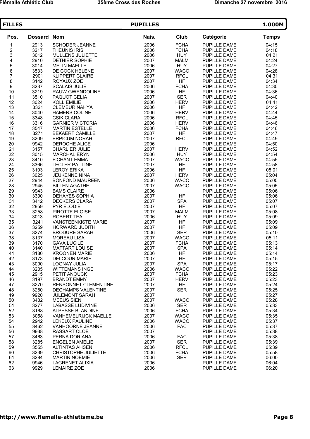| <b>FILLES</b>                              |              |                                               | <b>PUPILLES</b> |                          |                              | 1.000M         |
|--------------------------------------------|--------------|-----------------------------------------------|-----------------|--------------------------|------------------------------|----------------|
| Pos.                                       | Dossard Nom  |                                               | Nais.           | Club                     | Catégorie                    | <b>Temps</b>   |
| 1                                          | 2913         | <b>SCHODER JEANNE</b>                         | 2006            | <b>FCHA</b>              | PUPILLE DAME                 | 04:15          |
|                                            | 3217         | <b>THEUNIS IRIS</b>                           | 2006            | <b>FCHA</b>              | PUPILLE DAME                 | 04:18          |
| $\begin{array}{c} 2 \\ 3 \\ 4 \end{array}$ | 3012         | MULLENS JULIETTE                              | 2006            | <b>HUY</b>               | PUPILLE DAME                 | 04:21          |
|                                            | 2910         | DETHIER SOPHIE                                | 2007            | <b>MALM</b>              | PUPILLE DAME                 | 04:24          |
| 5<br>6<br>7                                | 3014         | <b>MELIN MAELLE</b>                           | 2006            | <b>HUY</b>               | PUPILLE DAME                 | 04:27          |
|                                            | 3533         | DE COCK HELENE                                | 2007            | <b>WACO</b>              | PUPILLE DAME                 | 04:28          |
|                                            | 2901         | <b>KLIPPERT CLAIRE</b>                        | 2007            | <b>RFCL</b>              | PUPILLE DAME                 | 04:31          |
| 8                                          | 3142         | ROYAUX ZOE                                    | 2007            | <b>HF</b>                | PUPILLE DAME                 | 04:34          |
| 9                                          | 3237         | <b>SCALAIS JULIE</b>                          | 2006            | <b>FCHA</b>              | PUPILLE DAME                 | 04:35          |
| 10                                         | 3219         | RAUW GWENDOLINE                               | 2006            | <b>HF</b><br><b>SER</b>  | PUPILLE DAME                 | 04:36          |
| 11<br>12                                   | 3510         | PAQUOT CELIA                                  | 2007            |                          | PUPILLE DAME                 | 04:40          |
| 13                                         | 3024<br>3321 | <b>KOLL EMILIE</b><br><b>CLEMEUR NAHYA</b>    | 2006<br>2006    | <b>HERV</b><br><b>HF</b> | PUPILLE DAME<br>PUPILLE DAME | 04:41<br>04:42 |
| 14                                         | 3040         | <b>HAMERS COLINE</b>                          | 2006            | <b>HERV</b>              | PUPILLE DAME                 | 04:44          |
| 15                                         | 3348         | <b>CSIK CLARA</b>                             | 2006            | <b>RFCL</b>              | PUPILLE DAME                 | 04:45          |
| 16                                         | 3316         | <b>GARNIER VICTORIA</b>                       | 2006            | <b>HERV</b>              | PUPILLE DAME                 | 04:46          |
| 17                                         | 3547         | <b>MARTIN ESTELLE</b>                         | 2006            | <b>FCHA</b>              | PUPILLE DAME                 | 04:46          |
| 18                                         | 3271         | <b>BEKAERT CAMILLE</b>                        | 2007            | <b>HF</b>                | PUPILLE DAME                 | 04:47          |
| 19                                         | 3209         | <b>ERPICUM NORAH</b>                          | 2007            | <b>RFCL</b>              | PUPILLE DAME                 | 04:49          |
| 20                                         | 9942         | <b>DEROCHE ALICE</b>                          | 2006            |                          | PUPILLE DAME                 | 04:50          |
| 21                                         | 3157         | <b>CHARLIER JULIE</b>                         | 2007            | <b>HERV</b>              | PUPILLE DAME                 | 04:52          |
| 22                                         | 3015         | <b>MARCHAL ERYN</b>                           | 2006            | <b>HUY</b>               | PUPILLE DAME                 | 04:54          |
| 23                                         | 3410         | <b>FICHANT EMMA</b>                           | 2007            | <b>WACO</b>              | PUPILLE DAME                 | 04:55          |
| 24                                         | 3366         | <b>LECLER PAULINE</b>                         | 2007            | HF                       | PUPILLE DAME                 | 04:58          |
| 25                                         | 3103         | <b>LEROY ERIKA</b>                            | 2006            | <b>HF</b>                | PUPILLE DAME                 | 05:01          |
| 26                                         | 3025         | JEUKENNE NINA                                 | 2007            | <b>HERV</b>              | PUPILLE DAME                 | 05:04          |
| 27                                         | 2944         | <b>BONFOND MAUREEN</b>                        | 2006            | <b>WACO</b>              | PUPILLE DAME                 | 05:05          |
| 28                                         | 2945         | <b>BILLEN AGATHE</b>                          | 2007            | <b>WACO</b>              | PUPILLE DAME                 | 05:05          |
| 29                                         | 9943         | <b>BAMS CLAIRE</b>                            | 2006            |                          | PUPILLE DAME                 | 05:06          |
| 30                                         | 3390         | <b>DEHAYES SOPHIA</b>                         | 2007            | HF                       | PUPILLE DAME                 | 05:06          |
| 31                                         | 3412         | <b>DECKERS CLARA</b>                          | 2007            | <b>SPA</b>               | PUPILLE DAME                 | 05:07          |
| 32                                         | 2959         | PYR ELODIE                                    | 2007            | HF                       | PUPILLE DAME                 | 05:07          |
| 33                                         | 3258         | PIROTTE ELOISE                                | 2007            | <b>MALM</b>              | PUPILLE DAME                 | 05:08          |
| 34                                         | 3013         | <b>ROBERT TEA</b>                             | 2006            | <b>HUY</b>               | PUPILLE DAME                 | 05:09          |
| 35                                         | 3241         | <b>VANSTEENKISTE MARIE</b>                    | 2007            | HF                       | PUPILLE DAME                 | 05:09          |
| 36                                         | 3259         | HORWARD JUDITH                                | 2007            | HF                       | PUPILLE DAME                 | 05:09          |
| 37                                         | 3274         | <b>BRODURE SARAH</b>                          | 2006            | <b>SER</b>               | PUPILLE DAME                 | 05:10          |
| 38                                         | 3137         | <b>MOREAU LISA</b>                            | 2007            | <b>WACO</b>              | PUPILLE DAME                 | 05:11          |
| 39                                         | 3170         | <b>GAVA LUCILE</b>                            | 2007            | <b>FCHA</b>              | PUPILLE DAME                 | 05:13          |
| 40                                         | 3140         | <b>MATTART LOUISE</b><br><b>KROONEN MARIE</b> | 2007            | <b>SPA</b>               | PUPILLE DAME<br>PUPILLE DAME | 05:14          |
| 41<br>42                                   | 3180<br>3173 | <b>DELCOUR MARIE</b>                          | 2006<br>2007    | HF<br>HF                 | PUPILLE DAME                 | 05:14<br>05:15 |
| 43                                         | 3090         | <b>LOGNAY JULIA</b>                           | 2007            | <b>SPA</b>               | PUPILLE DAME                 | 05:17          |
| 44                                         | 3205         | <b>WITTEMANS INGE</b>                         | 2006            | <b>WACO</b>              | PUPILLE DAME                 | 05:22          |
| 45                                         | 2915         | PETIT ANOUCK                                  | 2007            | <b>FCHA</b>              | PUPILLE DAME                 | 05:23          |
| 46                                         | 3197         | <b>BRANDT EMMY</b>                            | 2007            | <b>HERV</b>              | PUPILLE DAME                 | 05:23          |
| 47                                         | 3270         | RENSONNET CLEMENTINE                          | 2007            | HF                       | PUPILLE DAME                 | 05:24          |
| 48                                         | 3280         | <b>DECHAMPS VALENTINE</b>                     | 2007            | <b>SER</b>               | PUPILLE DAME                 | 05:25          |
| 49                                         | 9920         | <b>JULEMONT SARAH</b>                         | 2007            |                          | PUPILLE DAME                 | 05:27          |
| 50                                         | 3432         | <b>MEEUS SIEN</b>                             | 2007            | <b>WACO</b>              | PUPILLE DAME                 | 05:28          |
| 51                                         | 3277         | <b>LABASSE LUDIVINE</b>                       | 2006            | <b>SER</b>               | PUPILLE DAME                 | 05:33          |
| 52                                         | 3168         | ALPESSE BLANDINE                              | 2006            | <b>FCHA</b>              | PUPILLE DAME                 | 05:34          |
| 53                                         | 3058         | <b>VANHEMELRIJCK MAELLE</b>                   | 2007            | <b>WACO</b>              | PUPILLE DAME                 | 05:35          |
| 54                                         | 2942         | LEKEUX PAULINE                                | 2006            | <b>WACO</b>              | PUPILLE DAME                 | 05:37          |
| 55                                         | 3462         | VANHOORNE JEANNE                              | 2006            | <b>FAC</b>               | PUPILLE DAME                 | 05:37          |
| 56                                         | 9938         | RASSART CLOE                                  | 2007            |                          | PUPILLE DAME                 | 05:38          |
| 57                                         | 3463         | PERNA DORIANA                                 | 2006            | <b>FAC</b>               | PUPILLE DAME                 | 05:38          |
| 58                                         | 3285         | <b>ENGELEN AMELIE</b>                         | 2007            | <b>SER</b>               | PUPILLE DAME                 | 05:39          |
| 59                                         | 3555         | <b>ALTINTAS AHSEN</b>                         | 2006            | <b>RFCL</b>              | PUPILLE DAME                 | 05:39          |
| 60                                         | 3239         | CHRISTOPHE JULIETTE                           | 2006            | <b>FCHA</b>              | PUPILLE DAME                 | 05:58          |
| 61                                         | 3284         | <b>MARTIN NOEMIE</b>                          | 2006            | <b>SER</b>               | PUPILLE DAME                 | 06:00          |
| 62                                         | 9946         | LAGRENET ALIXIA                               | 2006            |                          | PUPILLE DAME                 | 06:04          |
| 63                                         | 9929         | <b>LEMAIRE ZOE</b>                            | 2006            |                          | PUPILLE DAME                 | 06:20          |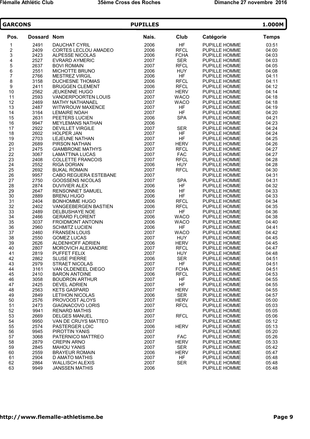| <b>GARCONS</b>           |                | <b>PUPILLES</b>                                    |              |                            |                                       |                |  |
|--------------------------|----------------|----------------------------------------------------|--------------|----------------------------|---------------------------------------|----------------|--|
| Pos.                     | <b>Dossard</b> | <b>Nom</b>                                         | Nais.        | Club                       | Catégorie                             | <b>Temps</b>   |  |
| 1                        | 2491           | <b>DAUCHAT CYRIL</b>                               | 2006         | <b>HF</b>                  | PUPILLE HOMME                         | 03:51          |  |
| $\overline{\mathbf{c}}$  | 2409           | CORTES LECLOU AMADEO                               | 2006         | <b>RFCL</b>                | <b>PUPILLE HOMME</b>                  | 04:00          |  |
| 3                        | 2423           | <b>ALPESSE NICOLAS</b>                             | 2006         | <b>FCHA</b>                | PUPILLE HOMME                         | 04:03          |  |
| 4                        | 2527           | <b>EVRARD AYMERIC</b>                              | 2007         | <b>SER</b>                 | PUPILLE HOMME                         | 04:03          |  |
| 5<br>6                   | 2637           | <b>BOVI ROMAIN</b>                                 | 2007         | <b>RFCL</b>                | PUPILLE HOMME                         | 04:05          |  |
|                          | 2551           | MICHOTTE BRUNO                                     | 2006         | <b>HUY</b>                 | PUPILLE HOMME                         | 04:08          |  |
| $\overline{\mathcal{I}}$ | 2766           | <b>MESTREZ VIRGIL</b>                              | 2006         | <b>HF</b>                  | PUPILLE HOMME                         | 04:11          |  |
| 8                        | 3158           | <b>DUCHESNE THOMAS</b>                             | 2006         | <b>RFCL</b>                | PUPILLE HOMME                         | 04:11          |  |
| 9                        | 2411           | <b>BRUGGEN CLEMENT</b>                             | 2006         | <b>RFCL</b><br><b>HERV</b> | PUPILLE HOMME                         | 04:12<br>04:14 |  |
| 10<br>11                 | 2562<br>2593   | <b>JEUKENNE HUGO</b><br><b>VANDERPOORTEN LOUIS</b> | 2007<br>2007 | <b>WACO</b>                | PUPILLE HOMME<br>PUPILLE HOMME        | 04:18          |  |
| 12                       | 2469           | <b>MATHY NATHANAEL</b>                             | 2007         | <b>WACO</b>                | PUPILLE HOMME                         | 04:18          |  |
| 13                       | 2487           | <b>WITWROUW MAXENCE</b>                            | 2007         | <b>HF</b>                  | PUPILLE HOMME                         | 04:19          |  |
| 14                       | 3164           | <b>LEMAIRE NOAH</b>                                | 2007         | <b>HF</b>                  | PUPILLE HOMME                         | 04:20          |  |
| 15                       | 2631           | PEETERS LUCIEN                                     | 2006         | <b>SPA</b>                 | PUPILLE HOMME                         | 04:21          |  |
| 16                       | 9947           | <b>MEYLEMANS NATHAN</b>                            | 2006         |                            | PUPILLE HOMME                         | 04:23          |  |
| 17                       | 2922           | <b>DEVILLET VIRGILE</b>                            | 2007         | <b>SER</b>                 | PUPILLE HOMME                         | 04:24          |  |
| 18                       | 2602           | <b>HOLPER JAN</b>                                  | 2007         | <b>HF</b>                  | PUPILLE HOMME                         | 04:24          |  |
| 19                       | 2703           | LEJEUNE NATHAN                                     | 2007         | <b>HF</b>                  | PUPILLE HOMME                         | 04:25          |  |
| 20                       | 2689           | PIRSON NATHAN                                      | 2007         | <b>HERV</b>                | PUPILLE HOMME                         | 04:26          |  |
| 21                       | 2475           | <b>GIAMBRONE MATHYS</b>                            | 2007         | <b>RFCL</b>                | PUPILLE HOMME                         | 04:27          |  |
| 22                       | 3067           | <b>LAMATTINA LUCAS</b>                             | 2007         | <b>FAC</b>                 | PUPILLE HOMME                         | 04:27          |  |
| 23                       | 2408           | <b>COLLETTE FRANCOIS</b>                           | 2007         | <b>RFCL</b>                | PUPILLE HOMME                         | 04:28          |  |
| 24                       | 2552           | <b>RIGA DORIAN</b>                                 | 2006         | <b>HUY</b>                 | PUPILLE HOMME                         | 04:28          |  |
| 25                       | 2692           | <b>BUKAL ROMAIN</b>                                | 2007         | <b>RFCL</b>                | <b>PUPILLE HOMME</b>                  | 04:30          |  |
| 26                       | 9957           | CABO REGUERA ESTEBANE                              | 2007         |                            | PUPILLE HOMME                         | 04:31          |  |
| 27                       | 2750           | <b>GOOSSENS NICOLAS</b>                            | 2007         | <b>SPA</b>                 | PUPILLE HOMME                         | 04:31          |  |
| 28                       | 2874           | <b>DUVIVIER ALEX</b>                               | 2006         | <b>HF</b>                  | PUPILLE HOMME                         | 04:32          |  |
| 29                       | 2647           | RENSONNET SAMUEL                                   | 2006         | <b>HF</b>                  | PUPILLE HOMME                         | 04:33          |  |
| 30                       | 2889           | <b>BRENU HUGO</b>                                  | 2006         | <b>HF</b>                  | PUPILLE HOMME                         | 04:33          |  |
| 31<br>32                 | 2404<br>2402   | <b>BONHOMME HUGO</b>                               | 2006<br>2006 | <b>RFCL</b><br><b>RFCL</b> | PUPILLE HOMME                         | 04:34<br>04:35 |  |
| 33                       | 2489           | VANGEEBERGEN BASTIEN<br>DELBUSHAYE NOE             | 2007         | <b>HF</b>                  | PUPILLE HOMME<br>PUPILLE HOMME        | 04:36          |  |
| 34                       | 2466           | <b>GERARD FLORENT</b>                              | 2006         | <b>WACO</b>                | PUPILLE HOMME                         | 04:38          |  |
| 35                       | 3037           | <b>FROIDMONT ANTONIN</b>                           | 2006         | <b>WACO</b>                | PUPILLE HOMME                         | 04:40          |  |
| 36                       | 2960           | <b>SCHMITZ LUCIEN</b>                              | 2006         | <b>HF</b>                  | PUPILLE HOMME                         | 04:41          |  |
| 37                       | 2460           | <b>FRANSEN LOUIS</b>                               | 2007         | <b>WACO</b>                | PUPILLE HOMME                         | 04:42          |  |
| 38                       | 2550           | <b>GOMEZ LUCAS</b>                                 | 2007         | <b>HUY</b>                 | PUPILLE HOMME                         | 04:45          |  |
| 39                       | 2626           | ALDENHOFF ADRIEN                                   | 2006         | <b>HERV</b>                | PUPILLE HOMME                         | 04:45          |  |
| 40                       | 2807           | <b>MOROVICH ALEXANDRE</b>                          | 2007         | <b>RFCL</b>                | PUPILLE HOMME                         | 04:47          |  |
| 41                       | 2819           | PUFFET FELIX                                       | 2007         | <b>HUY</b>                 | PUPILLE HOMME                         | 04:48          |  |
| 42                       | 2862           | <b>SLUSE PIERRE</b>                                | 2006         | <b>SER</b>                 | PUPILLE HOMME                         | 04:51          |  |
| 43                       | 2979           | <b>STRAET NICOLAS</b>                              | 2007         | HF                         | PUPILLE HOMME                         | 04:51          |  |
| 44                       | 3161           | VAN OLDENEEL DIEGO                                 | 2007         | <b>FCHA</b>                | PUPILLE HOMME                         | 04:51          |  |
| 45                       | 2410           | <b>BARON ANTOINE</b>                               | 2006         | <b>RFCL</b>                | PUPILLE HOMME                         | 04:53          |  |
| 46                       | 3058           | <b>BOUDRON ARTHUR</b>                              | 2007         | HF                         | PUPILLE HOMME                         | 04:55          |  |
| 47                       | 2425           | DEVEL ADRIEN                                       | 2007         | <b>HF</b>                  | PUPILLE HOMME                         | 04:55          |  |
| 48                       | 2563           | <b>KETS GASPARD</b>                                | 2007         | <b>HERV</b>                | PUPILLE HOMME                         | 04:55          |  |
| 49                       | 2849           | <b>LETIHON NICOLAS</b>                             | 2006         | <b>SER</b>                 | PUPILLE HOMME                         | 04:57          |  |
| 50                       | 2576           | PROVOOST ALOYS                                     | 2007         | <b>HERV</b>                | PUPILLE HOMME                         | 05:00          |  |
| 51                       | 2473           | <b>GIAGNACOVO LORIS</b>                            | 2007         | <b>RFCL</b>                | PUPILLE HOMME                         | 05:03          |  |
| 52                       | 9941           | <b>RENARD MATHIS</b>                               | 2007         |                            | PUPILLE HOMME<br><b>PUPILLE HOMME</b> | 05:05          |  |
| 53<br>54                 | 2669           | <b>DELGES MANUEL</b>                               | 2007         | <b>RFCL</b>                |                                       | 05:06          |  |
| 55                       | 9950<br>2574   | VAN DE CRUYS MATTEO<br>PASTERGER LOIC              | 2007<br>2006 | <b>HERV</b>                | PUPILLE HOMME<br>PUPILLE HOMME        | 05:12<br>05:13 |  |
| 56                       | 9945           | PIROTTIN YANIS                                     | 2007         |                            | PUPILLE HOMME                         | 05:20          |  |
| 57                       | 3068           | PATERNICO MATTREO                                  | 2007         | <b>FAC</b>                 | PUPILLE HOMME                         | 05:26          |  |
| 58                       | 2879           | <b>CREPIN ARNO</b>                                 | 2007         | <b>HERV</b>                | PUPILLE HOMME                         | 05:33          |  |
| 59                       | 2845           | <b>MAHOU YANIS</b>                                 | 2007         | <b>SER</b>                 | PUPILLE HOMME                         | 05:42          |  |
| 60                       | 2559           | <b>BRAYEUR ROMAIN</b>                              | 2006         | <b>HERV</b>                | PUPILLE HOMME                         | 05:47          |  |
| 61                       | 2904           | D AMATO MATHIS                                     | 2007         | HF                         | PUPILLE HOMME                         | 05:48          |  |
| 62                       | 2864           | <b>WALLISCH ALEXIS</b>                             | 2007         | <b>SER</b>                 | PUPILLE HOMME                         | 05:48          |  |
| 63                       | 9949           | <b>JANSSEN MATHIS</b>                              | 2006         |                            | PUPILLE HOMME                         | 05:48          |  |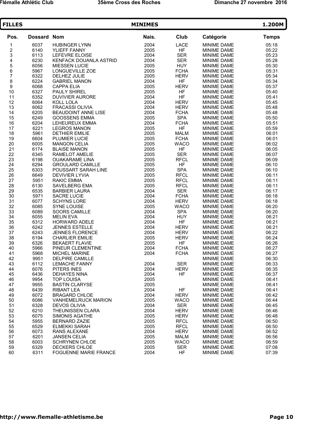| <b>FILLES</b>                              |                    |                                              | <b>MINIMES</b> |                           |                            | 1.200M         |
|--------------------------------------------|--------------------|----------------------------------------------|----------------|---------------------------|----------------------------|----------------|
| Pos.                                       | <b>Dossard Nom</b> |                                              | Nais.          | Club                      | Catégorie                  | <b>Temps</b>   |
| 1                                          | 6037               | <b>HUBINGER LYNN</b>                         | 2004           | LACE                      | MINIME DAME                | 05:18          |
| $\frac{2}{3}$                              | 6140               | YLIEFF FANNY                                 | 2005           | HF                        | <b>MINIME DAME</b>         | 05:22          |
|                                            | 6113               | LEFEVRE ELOISE                               | 2004           | <b>SER</b>                | MINIME DAME                | 05:23          |
| $\begin{array}{c} 4 \\ 5 \\ 6 \end{array}$ | 6230               | KENFACK DOUANLA ASTRID                       | 2004           | <b>SER</b>                | MINIME DAME                | 05:28          |
|                                            | 6056               | <b>MIESSEN LUCIE</b>                         | 2005           | <b>HUY</b>                | MINIME DAME                | 05:30          |
|                                            | 5967               | LONGUEVILLE ZOE                              | 2005           | <b>FCHA</b>               | MINIME DAME                | 05:31          |
| $\overline{7}$                             | 6322               | DELHEZ JULIE                                 | 2005           | <b>HERV</b>               | MINIME DAME                | 05:34          |
| 8<br>9                                     | 6224               | <b>GABRIEL MANON</b>                         | 2004           | HF                        | <b>MINIME DAME</b>         | 05:34          |
|                                            | 6068               | <b>CAPPA ELIA</b>                            | 2005           | <b>HERV</b>               | MINIME DAME                | 05:37          |
| 10                                         | 6327               | <b>PAULY SHIREL</b>                          | 2005           | <b>HF</b>                 | MINIME DAME                | 05:40          |
| 11                                         | 6352               | <b>DUVIVIER AURORE</b>                       | 2004           | <b>HF</b>                 | MINIME DAME                | 05:41          |
| 12                                         | 6064               | KOLL LOLA                                    | 2004           | <b>HERV</b>               | MINIME DAME                | 05:45          |
| 13                                         | 6062               | <b>FRACASSI OLIVIA</b>                       | 2004           | <b>HERV</b>               | MINIME DAME                | 05:48          |
| 14                                         | 6205               | <b>BEAUDOINT ANNE LISE</b>                   | 2004           | <b>FCHA</b>               | <b>MINIME DAME</b>         | 05:48          |
| 15                                         | 6249<br>6204       | <b>GOOSSENS EMMA</b>                         | 2005<br>2004   | <b>SPA</b><br><b>FCHA</b> | MINIME DAME                | 05:50<br>05:51 |
| 16                                         | 6221               | LEHEUREUX EMMA                               |                | <b>HF</b>                 | MINIME DAME                | 05:59          |
| 17<br>18                                   | 5961               | <b>LEGROS MANON</b><br><b>DETHIER EMILIE</b> | 2005<br>2005   | <b>MALM</b>               | MINIME DAME<br>MINIME DAME | 06:01          |
| 19                                         | 6604               | PLUMIER LUCIE                                | 2005           | <b>FCHA</b>               | MINIME DAME                | 06:01          |
| 20                                         | 6005               | <b>MANGON CELIA</b>                          | 2005           | <b>WACO</b>               | <b>MINIME DAME</b>         | 06:02          |
| 21                                         | 6174               | <b>BLAISE MANON</b>                          | 2005           | <b>HF</b>                 | MINIME DAME                | 06:05          |
| 22                                         | 6345               | RAMELOT AMELIE                               | 2005           | <b>SER</b>                | MINIME DAME                | 06:07          |
| 23                                         | 6198               | <b>OUAKARAME LINA</b>                        | 2005           | <b>RFCL</b>               | MINIME DAME                | 06:09          |
| 24                                         | 6294               | <b>GROULARD CAMILLE</b>                      | 2005           | <b>HF</b>                 | MINIME DAME                | 06:10          |
| 25                                         | 6303               | POUSSART SARAH LINE                          | 2005           | <b>SPA</b>                | MINIME DAME                | 06:10          |
| 26                                         | 6649               | <b>DEVIVIER LYVIA</b>                        | 2005           | <b>RFCL</b>               | <b>MINIME DAME</b>         | 06:11          |
| 27                                         | 5951               | <b>RAKIC EMMA</b>                            | 2005           | <b>RFCL</b>               | MINIME DAME                | 06:11          |
| 28                                         | 6130               | SAVELBERG EMA                                | 2005           | <b>RFCL</b>               | MINIME DAME                | 06:11          |
| 29                                         | 6535               | <b>BARBIER LAURA</b>                         | 2004           | <b>SER</b>                | <b>MINIME DAME</b>         | 06:17          |
| 30                                         | 5971               | <b>SACRE LUCIE</b>                           | 2004           | <b>FCHA</b>               | MINIME DAME                | 06:18          |
| 31                                         | 6077               | <b>SCHYNS LORE</b>                           | 2004           | <b>HERV</b>               | <b>MINIME DAME</b>         | 06:18          |
| 32                                         | 6085               | <b>SYNE LOUISE</b>                           | 2005           | <b>WACO</b>               | <b>MINIME DAME</b>         | 06:20          |
| 33                                         | 6089               | <b>SOORS CAMILLE</b>                         | 2004           | <b>SPA</b>                | MINIME DAME                | 06:20          |
| 34                                         | 6055               | <b>MELIN EVA</b>                             | 2004           | <b>HUY</b>                | MINIME DAME                | 06:21          |
| 35                                         | 6312               | HORWARD ADELE                                | 2004           | HF                        | MINIME DAME                | 06:21          |
| 36                                         | 6242               | <b>JENNES ESTELLE</b>                        | 2004           | <b>HERV</b>               | MINIME DAME                | 06:21          |
| 37                                         | 6243               | <b>JENNES FLORENCE</b>                       | 2004           | <b>HERV</b>               | MINIME DAME                | 06:22          |
| 38                                         | 6194               | <b>CHARLIER EMILIE</b>                       | 2005           | <b>HERV</b>               | MINIME DAME                | 06:24          |
| 39                                         | 6326               | <b>BEKAERT FLAVIE</b>                        | 2005           | <b>HF</b>                 | MINIME DAME                | 06:26          |
| 40                                         | 5966               | PINEUR CLEMENTINE                            | 2004           | <b>FCHA</b>               | MINIME DAME                | 06:27          |
| 41<br>42                                   | 5968<br>9951       | MICHEL MARINE<br><b>DELPIRE CAMILLE</b>      | 2004           | <b>FCHA</b>               | MINIME DAME<br>MINIME DAME | 06:27<br>06:30 |
| 43                                         | 6112               | <b>LEMACHE FANNY</b>                         | 2004           | <b>SER</b>                | MINIME DAME                | 06:33          |
| 44                                         | 6076               | PITERS INES                                  | 2004           | <b>HERV</b>               | <b>MINIME DAME</b>         | 06:35          |
| 45                                         | 6436               | <b>DEHAYES NINA</b>                          | 2004           | <b>HF</b>                 | <b>MINIME DAME</b>         | 06:37          |
| 46                                         | 9954               | <b>TOP LOUISA</b>                            | 2005           |                           | <b>MINIME DAME</b>         | 06:41          |
| 47                                         | 9955               | <b>BASTIN CLARYSE</b>                        | 2005           |                           | MINIME DAME                | 06:41          |
| 48                                         | 6439               | <b>RIBANT LEA</b>                            | 2004           | HF                        | MINIME DAME                | 06:41          |
| 49                                         | 6072               | <b>BRAGARD CHLOE</b>                         | 2004           | <b>HERV</b>               | MINIME DAME                | 06:42          |
| 50                                         | 6086               | <b>VANHEMELRIJCK MARION</b>                  | 2005           | <b>WACO</b>               | MINIME DAME                | 06:44          |
| 51                                         | 6328               | <b>DEVOS OLIVIA</b>                          | 2004           | <b>SER</b>                | <b>MINIME DAME</b>         | 06:45          |
| 52                                         | 6210               | <b>THEUNISSEN CLARA</b>                      | 2004           | <b>HERV</b>               | <b>MINIME DAME</b>         | 06:46          |
| 53                                         | 6075               | <b>SIMONIS AGATHE</b>                        | 2005           | <b>HERV</b>               | <b>MINIME DAME</b>         | 06:48          |
| 54                                         | 5955               | <b>BERNARD ZAZIE</b>                         | 2005           | <b>RFCL</b>               | MINIME DAME                | 06:50          |
| 55                                         | 6529               | <b>ELMEKKI SARAH</b>                         | 2005           | <b>RFCL</b>               | MINIME DAME                | 06:50          |
| 56                                         | 6073               | RANS ALEXANE                                 | 2004           | <b>HERV</b>               | <b>MINIME DAME</b>         | 06:52          |
| 57                                         | 6201               | <b>JANSEN CELIA</b>                          | 2005           | <b>MALM</b>               | <b>MINIME DAME</b>         | 06:56          |
| 58                                         | 6003               | <b>SCHRYNEN CHLOE</b>                        | 2005           | <b>WACO</b>               | <b>MINIME DAME</b>         | 06:59          |
| 59                                         | 6329               | DECKERS CHLOE                                | 2005           | SER                       | MINIME DAME                | 07:08          |
| 60                                         | 6311               | <b>FOGUENNE MARIE FRANCE</b>                 | 2004           | <b>HF</b>                 | MINIME DAME                | 07:39          |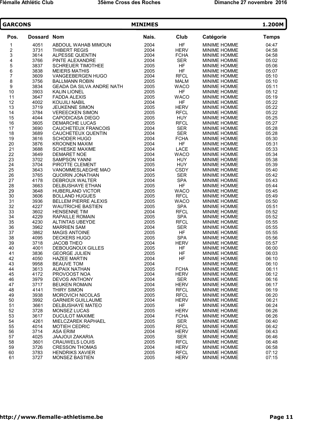| <b>GARCONS</b>          |                    |                                                      | 1.200M       |                            |                                            |                |
|-------------------------|--------------------|------------------------------------------------------|--------------|----------------------------|--------------------------------------------|----------------|
| Pos.                    | <b>Dossard Nom</b> |                                                      | Nais.        | Club                       | Catégorie                                  | <b>Temps</b>   |
| 1                       | 4051               | ABDOUL WAHAB MIMOUN                                  | 2004         | <b>HF</b>                  | MINIME HOMME                               | 04:47          |
| $\overline{\mathbf{c}}$ | 3731               | <b>THIBERT REGIS</b>                                 | 2004         | <b>HERV</b>                | <b>MINIME HOMME</b>                        | 04:58          |
| 3                       | 3614               | ALPESSE QUENTIN                                      | 2004         | <b>FCHA</b>                | MINIME HOMME                               | 04:58          |
| 4                       | 3766               | PINTE ALEXANDRE                                      | 2004         | <b>SER</b>                 | MINIME HOMME                               | 05:02          |
| 5<br>6                  | 3837               | <b>SCHREUER TIMOTHEE</b>                             | 2005         | HF                         | <b>MINIME HOMME</b>                        | 05:06          |
|                         | 3838               | <b>MEIERS MATHIS</b>                                 | 2005         | <b>HF</b>                  | MINIME HOMME                               | 05:07          |
| $\overline{7}$          | 3609               | VANGEEBERGEN HUGO                                    | 2004         | <b>RFCL</b>                | <b>MINIME HOMME</b>                        | 05:10          |
| 8                       | 3756               | <b>BALLMANN ROBIN</b>                                | 2005         | <b>MALM</b>                | <b>MINIME HOMME</b>                        | 05:10          |
| 9                       | 3834               | <b>GEADA DA SILVA ANDRE NATH</b>                     | 2005         | <b>WACO</b>                | MINIME HOMME                               | 05:11          |
| 10                      | 3903               | <b>KALIN LIONEL</b>                                  | 2005         | <b>HF</b>                  | MINIME HOMME                               | 05:12          |
| 11                      | 3647               | <b>FADDA ALEXIS</b>                                  | 2005         | <b>WACO</b>                | MINIME HOMME                               | 05:19          |
| 12                      | 4002               | <b>KOUJILI NABIL</b>                                 | 2004         | <b>HF</b>                  | MINIME HOMME                               | 05:22          |
| 13                      | 3719               | <b>JEUKENNE SIMON</b>                                | 2005         | <b>HERV</b>                | <b>MINIME HOMME</b>                        | 05:22          |
| 14                      | 3784               | <b>VEREECKEN SIMON</b>                               | 2005         | <b>RFCL</b>                | <b>MINIME HOMME</b>                        | 05:22          |
| 15                      | 4044               | <b>CAPODICASA DIEGO</b>                              | 2005         | <b>HUY</b>                 | MINIME HOMME                               | 05:25          |
| 16                      | 3605               | <b>DEMARCHE LUCAS</b>                                | 2005         | <b>RFCL</b>                | MINIME HOMME                               | 05:27          |
| 17                      | 3690               | CAUCHETEUX FRANCOIS                                  | 2004         | <b>SER</b>                 | MINIME HOMME                               | 05:28          |
| 18                      | 3689               | CAUCHETEUX QUENTIN                                   | 2004         | <b>SER</b>                 | MINIME HOMME                               | 05:28          |
| 19                      | 3616               | <b>SCHODER HUGO</b>                                  | 2004         | <b>FCHA</b>                | <b>MINIME HOMME</b>                        | 05:30          |
| 20                      | 3876               | <b>KROONEN MAXIM</b>                                 | 2004         | <b>HF</b>                  | <b>MINIME HOMME</b>                        | 05:31          |
| 21                      | 3688               | <b>SCHIESKE MAXIME</b>                               | 2004         | LACE                       | MINIME HOMME                               | 05:33          |
| 22                      | 3649               | <b>DEMARET NOE</b>                                   | 2004         | <b>WACO</b>                | <b>MINIME HOMME</b>                        | 05:34          |
| 23                      | 3702               | <b>SAMPSON YANNI</b>                                 | 2004         | <b>HUY</b>                 | MINIME HOMME                               | 05:38          |
| 24                      | 3704               | PIROTTE CLEMENT                                      | 2005         | <b>HUY</b>                 | <b>MINIME HOMME</b>                        | 05:39          |
| 25                      | 3643               | VANOMMESLAEGHE MAO                                   | 2004         | <b>CSDY</b>                | <b>MINIME HOMME</b>                        | 05:40          |
| 26                      | 3765               | <b>QUOIRIN JONATHAN</b>                              | 2005         | <b>SER</b>                 | <b>MINIME HOMME</b>                        | 05:42          |
| 27                      | 4178               | DEBROUX WALTER                                       | 2004         | <b>SPA</b>                 | MINIME HOMME                               | 05:43          |
| 28                      | 3663               | DELBUSHAYE ETHAN                                     | 2005         | <b>HF</b>                  | <b>MINIME HOMME</b>                        | 05:44          |
| 29<br>30                | 3648               | <b>HUBERLAND VICTOR</b>                              | 2005<br>2005 | <b>WACO</b><br><b>RFCL</b> | MINIME HOMME                               | 05:45          |
| 31                      | 3606<br>3936       | <b>BOLLAND HUGUES</b><br><b>BELLEM PIERRE ALEXIS</b> | 2005         | <b>WACO</b>                | <b>MINIME HOMME</b><br><b>MINIME HOMME</b> | 05:49<br>05:50 |
| 32                      | 4227               | <b>WAUTRICHE BASTIEN</b>                             | 2005         | <b>SPA</b>                 | <b>MINIME HOMME</b>                        | 05:51          |
| 33                      | 3602               | <b>HENSENNE TIM</b>                                  | 2004         | <b>RFCL</b>                | MINIME HOMME                               | 05:52          |
| 34                      | 4229               | <b>RAPAILLE ROMAIN</b>                               | 2005         | <b>SPA</b>                 | MINIME HOMME                               | 05:52          |
| 35                      | 4230               | ALTINTAS UBEYDE                                      | 2005         | <b>RFCL</b>                | <b>MINIME HOMME</b>                        | 05:55          |
| 36                      | 3962               | <b>MARRIEN SAM</b>                                   | 2004         | <b>SER</b>                 | MINIME HOMME                               | 05:55          |
| 37                      | 3862               | <b>MAGIS ANTOINE</b>                                 | 2005         | <b>HF</b>                  | <b>MINIME HOMME</b>                        | 05:55          |
| 38                      | 4095               | <b>DECKERS HUGO</b>                                  | 2005         | <b>SPA</b>                 | MINIME HOMME                               | 05:56          |
| 39                      | 3718               | <b>JACOB THEO</b>                                    | 2004         | <b>HERV</b>                | <b>MINIME HOMME</b>                        | 05:57          |
| 40                      | 4001               | <b>DEBOUGNOUX GILLES</b>                             | 2005         | HF                         | MINIME HOMME                               | 06:00          |
| 41                      | 3836               | <b>GEORGE JULIEN</b>                                 | 2005         | HF                         | <b>MINIME HOMME</b>                        | 06:03          |
| 42                      | 4050               | <b>HAZEE MARTIN</b>                                  | 2004         | <b>HF</b>                  | MINIME HOMME                               | 06:10          |
| 43                      | 9958               | <b>BEAUVE TOM</b>                                    | 2004         |                            | MINIME HOMME                               | 06:10          |
| 44                      | 3613               | <b>AUPAIX NATHAN</b>                                 | 2005         | <b>FCHA</b>                | <b>MINIME HOMME</b>                        | 06:11          |
| 45                      | 4172               | PROVOOST NOA                                         | 2004         | <b>HERV</b>                | <b>MINIME HOMME</b>                        | 06:12          |
| 46                      | 3979               | <b>DEVOS ANTHONY</b>                                 | 2004         | <b>SER</b>                 | <b>MINIME HOMME</b>                        | 06:16          |
| 47                      | 3717               | <b>BEUKEN ROMAIN</b>                                 | 2004         | <b>HERV</b>                | MINIME HOMME                               | 06:17          |
| 48                      | 4141               | THIRY SIMON                                          | 2005         | <b>RFCL</b>                | MINIME HOMME                               | 06:19          |
| 49                      | 3938               | <b>MOROVICH NICOLAS</b>                              | 2005         | <b>RFCL</b>                | MINIME HOMME                               | 06:20          |
| 50                      | 3992               | <b>GARNIER GUILLAUME</b>                             | 2004         | <b>HERV</b>                | MINIME HOMME                               | 06:21          |
| 51                      | 3661               | DELBUSHAYE MATEO                                     | 2005         | HF                         | <b>MINIME HOMME</b>                        | 06:24          |
| 52                      | 3728               | <b>MONSEZ LUCAS</b>                                  | 2005         | <b>HERV</b>                | <b>MINIME HOMME</b>                        | 06:26          |
| 53                      | 3617               | <b>DUCULOT MAXIME</b>                                | 2004         | <b>FCHA</b>                | MINIME HOMME                               | 06:26          |
| 54                      | 4261               | <b>MIELCZAREK RAPHAEL</b>                            | 2005         | <b>SER</b>                 | <b>MINIME HOMME</b>                        | 06:40          |
| 55                      | 4014               | <b>MOTIEH CEDRIC</b>                                 | 2005         | <b>RFCL</b>                | MINIME HOMME                               | 06:42          |
| 56                      | 3714               | <b>ASA ERIM</b>                                      | 2004         | <b>HERV</b>                | <b>MINIME HOMME</b>                        | 06:43          |
| 57                      | 4025               | <b>JAAJOUI ZAKARIA</b>                               | 2005         | <b>SER</b>                 | <b>MINIME HOMME</b>                        | 06:46          |
| 58                      | 3601               | <b>CRAUWELS LOUIS</b>                                | 2005         | <b>RFCL</b>                | <b>MINIME HOMME</b>                        | 06:48          |
| 59                      | 3726               | <b>CRESSON THOMAS</b>                                | 2004         | <b>HERV</b>                | <b>MINIME HOMME</b>                        | 06:58          |
| 60                      | 3783               | <b>HENDRIKS XAVIER</b>                               | 2005         | <b>RFCL</b>                | MINIME HOMME                               | 07:12          |
| 61                      | 3727               | MONSEZ BASTIEN                                       | 2005         | <b>HERV</b>                | MINIME HOMME                               | 07:15          |